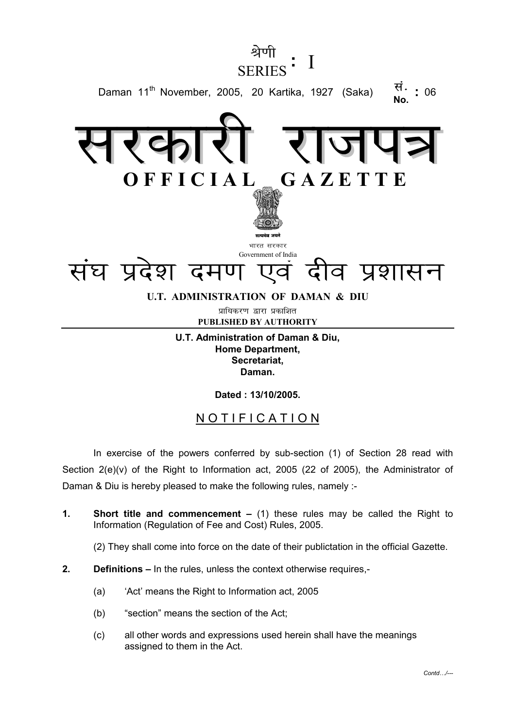

**U.T. Administration of Daman & Diu, Home Department, Secretariat, Daman.**

**Dated : 13/10/2005.**

## NOTIFICATION

In exercise of the powers conferred by sub-section (1) of Section 28 read with Section 2(e)(v) of the Right to Information act, 2005 (22 of 2005), the Administrator of Daman & Diu is hereby pleased to make the following rules, namely :-

**1. Short title and commencement –** (1) these rules may be called the Right to Information (Regulation of Fee and Cost) Rules, 2005.

(2) They shall come into force on the date of their publictation in the official Gazette.

- **2. Definitions** In the rules, unless the context otherwise requires,-
	- (a) 'Act' means the Right to Information act, 2005
	- (b) "section" means the section of the Act;
	- (c) all other words and expressions used herein shall have the meanings assigned to them in the Act.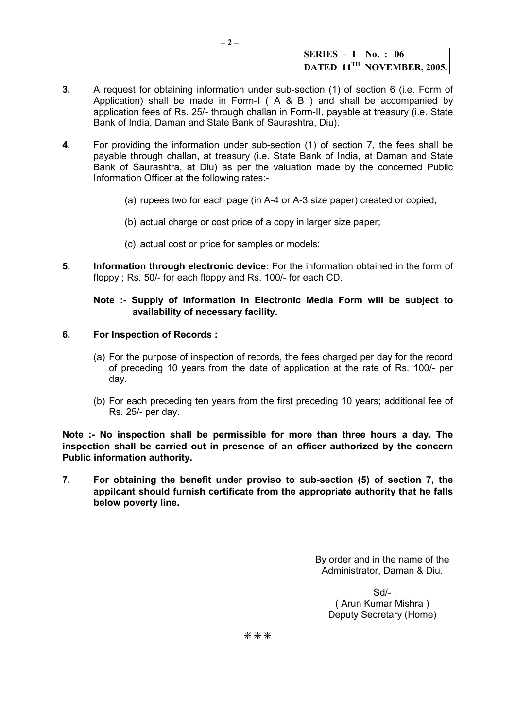|  | $\textsf{SERIES} - \textsf{I}$ No.: 06 |
|--|----------------------------------------|
|  | DATED 11TH NOVEMBER, 2005.             |

- **3.** A request for obtaining information under sub-section (1) of section 6 (i.e. Form of Application) shall be made in Form-I ( $A \& B$ ) and shall be accompanied by application fees of Rs. 25/- through challan in Form-II, payable at treasury (i.e. State Bank of India, Daman and State Bank of Saurashtra, Diu).
- **4.** For providing the information under sub-section (1) of section 7, the fees shall be payable through challan, at treasury (i.e. State Bank of India, at Daman and State Bank of Saurashtra, at Diu) as per the valuation made by the concerned Public Information Officer at the following rates:-
	- (a) rupees two for each page (in A-4 or A-3 size paper) created or copied;
	- (b) actual charge or cost price of a copy in larger size paper;
	- (c) actual cost or price for samples or models;
- **5. Information through electronic device:** For the information obtained in the form of floppy ; Rs. 50/- for each floppy and Rs. 100/- for each CD.

## **Note :- Supply of information in Electronic Media Form will be subject to availability of necessary facility.**

- **6. For Inspection of Records :**
	- (a) For the purpose of inspection of records, the fees charged per day for the record of preceding 10 years from the date of application at the rate of Rs. 100/- per day.
	- (b) For each preceding ten years from the first preceding 10 years; additional fee of Rs. 25/- per day.

**Note :- No inspection shall be permissible for more than three hours a day. The inspection shall be carried out in presence of an officer authorized by the concern Public information authority.**

**7. For obtaining the benefit under proviso to sub-section (5) of section 7, the appilcant should furnish certificate from the appropriate authority that he falls below poverty line.**

> By order and in the name of the Administrator, Daman & Diu.

Sd/- ( Arun Kumar Mishra ) Deputy Secretary (Home)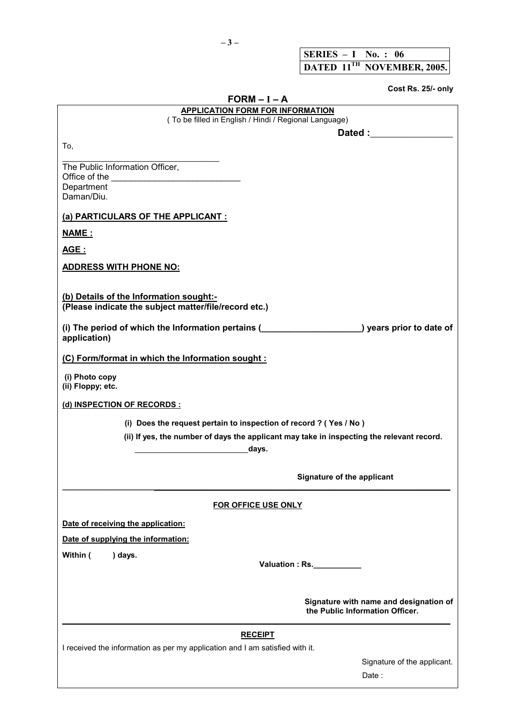| SERIES $-1$ No.: 06                    |  |  |
|----------------------------------------|--|--|
| DATED 11 <sup>TH</sup> NOVEMBER, 2005. |  |  |

**Cost Rs. 25/- only**

| $FORM - I - A$                                                                                                                                                                                                                 |  |  |  |  |  |
|--------------------------------------------------------------------------------------------------------------------------------------------------------------------------------------------------------------------------------|--|--|--|--|--|
| <b>APPLICATION FORM FOR INFORMATION</b><br>(To be filled in English / Hindi / Regional Language)                                                                                                                               |  |  |  |  |  |
| Dated : and the state of the state of the state of the state of the state of the state of the state of the state of the state of the state of the state of the state of the state of the state of the state of the state of th |  |  |  |  |  |
| To,                                                                                                                                                                                                                            |  |  |  |  |  |
|                                                                                                                                                                                                                                |  |  |  |  |  |
| The Public Information Officer,                                                                                                                                                                                                |  |  |  |  |  |
| Department                                                                                                                                                                                                                     |  |  |  |  |  |
| Daman/Diu.                                                                                                                                                                                                                     |  |  |  |  |  |
| (a) PARTICULARS OF THE APPLICANT :                                                                                                                                                                                             |  |  |  |  |  |
| <u>NAME:</u>                                                                                                                                                                                                                   |  |  |  |  |  |
| <u>AGE :</u>                                                                                                                                                                                                                   |  |  |  |  |  |
| <u>ADDRESS WITH PHONE NO:</u>                                                                                                                                                                                                  |  |  |  |  |  |
| (b) Details of the Information sought:-                                                                                                                                                                                        |  |  |  |  |  |
| (Please indicate the subject matter/file/record etc.)                                                                                                                                                                          |  |  |  |  |  |
| application)                                                                                                                                                                                                                   |  |  |  |  |  |
| (C) Form/format in which the Information sought :                                                                                                                                                                              |  |  |  |  |  |
| (i) Photo copy<br>(ii) Floppy; etc.                                                                                                                                                                                            |  |  |  |  |  |
| (d) INSPECTION OF RECORDS :                                                                                                                                                                                                    |  |  |  |  |  |
| (i) Does the request pertain to inspection of record ? (Yes / No)                                                                                                                                                              |  |  |  |  |  |
| (ii) If yes, the number of days the applicant may take in inspecting the relevant record.<br>days.                                                                                                                             |  |  |  |  |  |
|                                                                                                                                                                                                                                |  |  |  |  |  |
| Signature of the applicant                                                                                                                                                                                                     |  |  |  |  |  |
| FOR OFFICE USE ONLY                                                                                                                                                                                                            |  |  |  |  |  |
| Date of receiving the application:                                                                                                                                                                                             |  |  |  |  |  |
| Date of supplying the information:                                                                                                                                                                                             |  |  |  |  |  |
| Within (<br>) days.                                                                                                                                                                                                            |  |  |  |  |  |
| Valuation : Rs.                                                                                                                                                                                                                |  |  |  |  |  |
|                                                                                                                                                                                                                                |  |  |  |  |  |
| Signature with name and designation of<br>the Public Information Officer.                                                                                                                                                      |  |  |  |  |  |
| <b>RECEIPT</b>                                                                                                                                                                                                                 |  |  |  |  |  |
| I received the information as per my application and I am satisfied with it.                                                                                                                                                   |  |  |  |  |  |
| Signature of the applicant.                                                                                                                                                                                                    |  |  |  |  |  |
| Date:                                                                                                                                                                                                                          |  |  |  |  |  |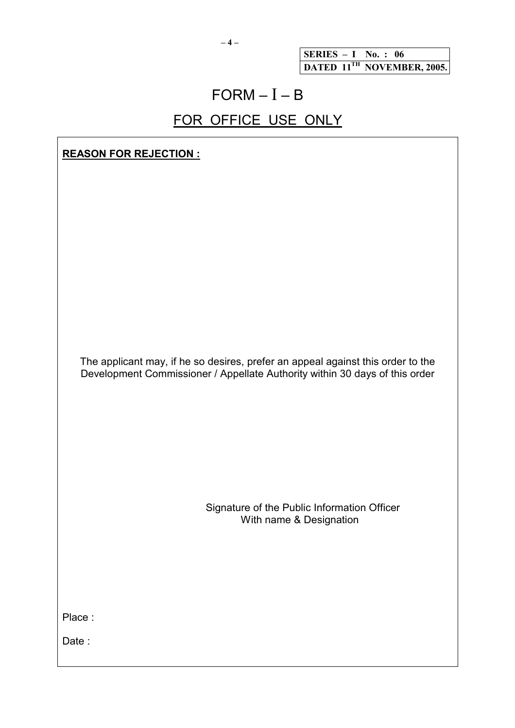**– 4 –**

**SERIES – I No. : 06 DATED 11TH NOVEMBER, 2005.**

## $FORM - I - B$

## FOR OFFICE USE ONLY

**REASON FOR REJECTION :**

The applicant may, if he so desires, prefer an appeal against this order to the Development Commissioner / Appellate Authority within 30 days of this order

> Signature of the Public Information Officer With name & Designation

Place :

Date: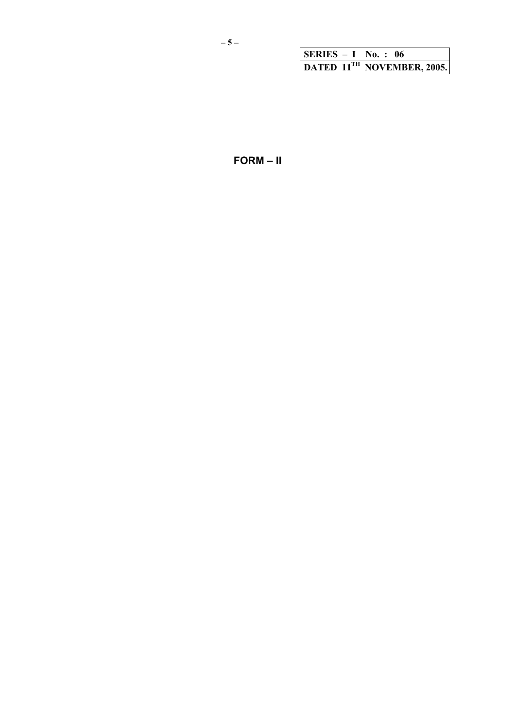|  | $\vert$ SERIES - I No.: 06             |
|--|----------------------------------------|
|  | DATED 11 <sup>TH</sup> NOVEMBER, 2005. |

 $FORM - II$